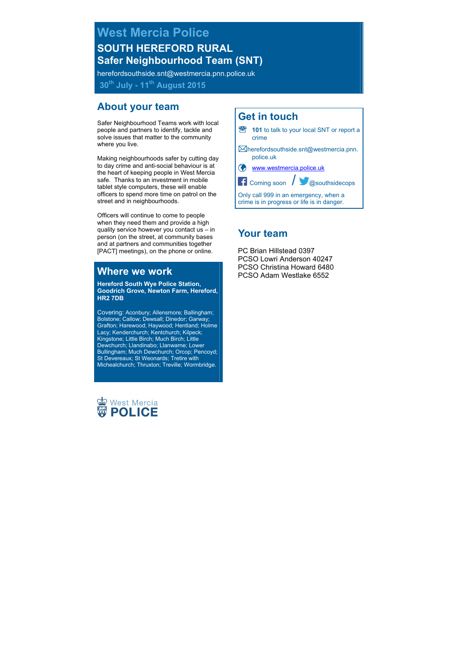**West Mercia Police SOUTH HEREFORD RURAL Safer Neighbourhood Team (SNT)**

herefordsouthside.snt@westmercia.pnn.police.uk

**30th July - 11th August 2015**

# **About your team**

Safer Neighbourhood Teams work with local people and partners to identify, tackle and solve issues that matter to the community where you live.

Making neighbourhoods safer by cutting day to day crime and anti-social behaviour is at the heart of keeping people in West Mercia safe. Thanks to an investment in mobile tablet style computers, these will enable officers to spend more time on patrol on the street and in neighbourhoods.

Officers will continue to come to people when they need them and provide a high quality service however you contact us – in person (on the street, at community bases and at partners and communities together [PACT] meetings), on the phone or online.

# **Where we work**

**Hereford South Wye Police Station, Goodrich Grove, Newton Farm, Hereford, HR2 7DB**

Covering: Aconbury; Allensmore; Ballingham; Bolstone; Callow; Dewsall; Dinedor; Garway; Grafton; Harewood; Haywood; Hentland; Holme Lacy; Kenderchurch; Kentchurch; Kilpeck; Kingstone; Little Birch; Much Birch; Little Dewchurch; Llandinabo; Llanwarne; Lower Bullingham; Much Dewchurch; Orcop; Pencoyd; St Devereaux; St Weonards; Tretire with Michealchurch; Thruxton; Treville; Wormbridge.



# **Get in touch**



# **Your team**

PC Brian Hillstead 0397 PCSO Lowri Anderson 40247 PCSO Christina Howard 6480 PCSO Adam Westlake 6552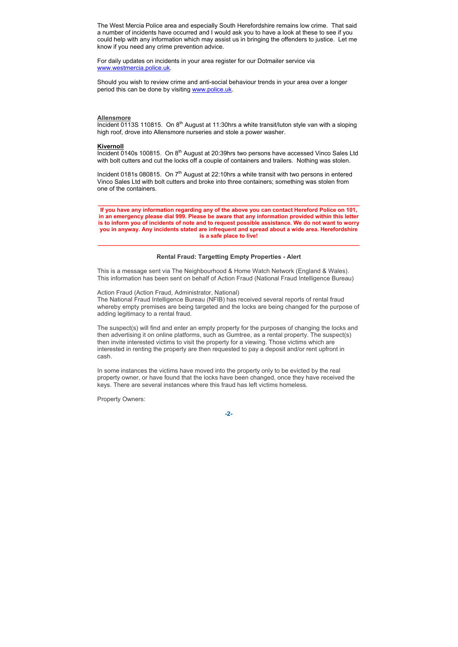The West Mercia Police area and especially South Herefordshire remains low crime. That said a number of incidents have occurred and I would ask you to have a look at these to see if you could help with any information which may assist us in bringing the offenders to justice. Let me know if you need any crime prevention advice.

For daily updates on incidents in your area register for our Dotmailer service via www.westmercia.police.ul

Should you wish to review crime and anti-social behaviour trends in your area over a longer period this can be done by visiting www.police.uk

#### **Allensmore**

Incident 0113S 110815. On  $8<sup>th</sup>$  August at 11:30hrs a white transit/luton style van with a sloping high roof, drove into Allensmore nurseries and stole a power washer.

#### **Kivernoll**

Incident 0140s 100815. On 8<sup>th</sup> August at 20:39hrs two persons have accessed Vinco Sales Ltd with bolt cutters and cut the locks off a couple of containers and trailers. Nothing was stolen.

Incident 0181s 080815. On  $7<sup>th</sup>$  August at 22:10hrs a white transit with two persons in entered Vinco Sales Ltd with bolt cutters and broke into three containers; something was stolen from one of the containers.

**If you have any information regarding any of the above you can contact Hereford Police on 101, in an emergency please dial 999. Please be aware that any information provided within this letter is to inform you of incidents of note and to request possible assistance. We do not want to worry you in anyway. Any incidents stated are infrequent and spread about a wide area. Herefordshire is a safe place to live!**

**\_\_\_\_\_\_\_\_\_\_\_\_\_\_\_\_\_\_\_\_\_\_\_\_\_\_\_\_\_\_\_\_\_\_\_\_\_\_\_\_\_\_\_\_\_\_\_\_\_\_\_\_\_\_\_\_\_\_\_\_\_\_\_\_\_\_\_\_\_\_\_\_\_\_\_\_**

## **\_\_\_\_\_\_\_\_\_\_\_\_\_\_\_\_\_\_\_\_\_\_\_\_\_\_\_\_\_\_\_\_\_\_\_\_\_\_\_\_\_\_\_\_\_\_\_\_\_\_\_\_\_\_\_\_\_\_\_\_\_\_\_\_\_\_\_\_\_\_\_\_\_\_\_\_ Rental Fraud: Targetting Empty Properties - Alert**

This is a message sent via The Neighbourhood & Home Watch Network (England & Wales). This information has been sent on behalf of Action Fraud (National Fraud Intelligence Bureau)

## Action Fraud (Action Fraud, Administrator, National)

The National Fraud Intelligence Bureau (NFIB) has received several reports of rental fraud whereby empty premises are being targeted and the locks are being changed for the purpose of adding legitimacy to a rental fraud.

The suspect(s) will find and enter an empty property for the purposes of changing the locks and then advertising it on online platforms, such as Gumtree, as a rental property. The suspect(s) then invite interested victims to visit the property for a viewing. Those victims which are interested in renting the property are then requested to pay a deposit and/or rent upfront in cash.

In some instances the victims have moved into the property only to be evicted by the real property owner, or have found that the locks have been changed, once they have received the keys. There are several instances where this fraud has left victims homeless.

Property Owners: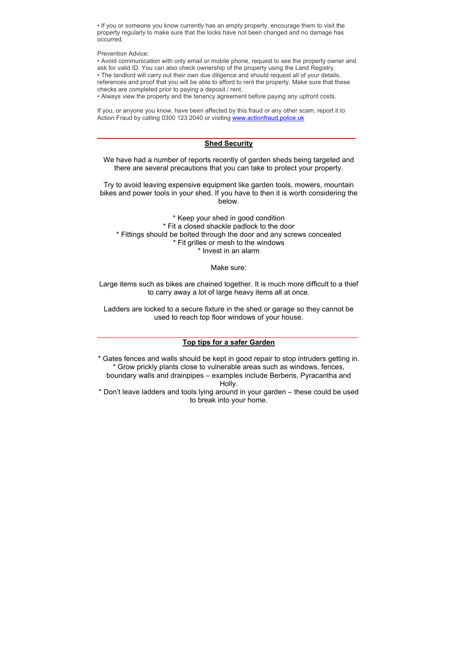• If you or someone you know currently has an empty property, encourage them to visit the property regularly to make sure that the locks have not been changed and no damage has occurred.

Prevention Advice:

• Avoid communication with only email or mobile phone, request to see the property owner and ask for valid ID. You can also check ownership of the property using the Land Registry. • The landlord will carry out their own due diligence and should request all of your details, references and proof that you will be able to afford to rent the property. Make sure that these

checks are completed prior to paying a deposit / rent.

• Always view the property and the tenancy agreement before paying any upfront costs.

If you, or anyone you know, have been affected by this fraud or any other scam, report it to Action Fraud by calling 0300 123 2040 or visiting www.actionfraud.police.uk

## \_\_\_\_\_\_\_\_\_\_\_\_\_\_\_\_\_\_\_\_\_\_\_\_\_\_\_\_\_\_\_\_\_\_\_\_\_\_\_\_\_\_\_\_\_\_\_\_\_\_ **Shed Security**

We have had a number of reports recently of garden sheds being targeted and there are several precautions that you can take to protect your property.

Try to avoid leaving expensive equipment like garden tools, mowers, mountain bikes and power tools in your shed. If you have to then it is worth considering the below.

\* Keep your shed in good condition \* Fit a closed shackle padlock to the door \* Fittings should be bolted through the door and any screws concealed \* Fit grilles or mesh to the windows \* Invest in an alarm

## Make sure:

Large items such as bikes are chained together. It is much more difficult to a thief to carry away a lot of large heavy items all at once.

Ladders are locked to a secure fixture in the shed or garage so they cannot be used to reach top floor windows of your house.

## $\_$  , and the set of the set of the set of the set of the set of the set of the set of the set of the set of the set of the set of the set of the set of the set of the set of the set of the set of the set of the set of th **Top tips for a safer Garden**

\* Gates fences and walls should be kept in good repair to stop intruders getting in. \* Grow prickly plants close to vulnerable areas such as windows, fences, boundary walls and drainpipes – examples include Berberis, Pyracantha and Holly.

\* Don't leave ladders and tools lying around in your garden – these could be used to break into your home.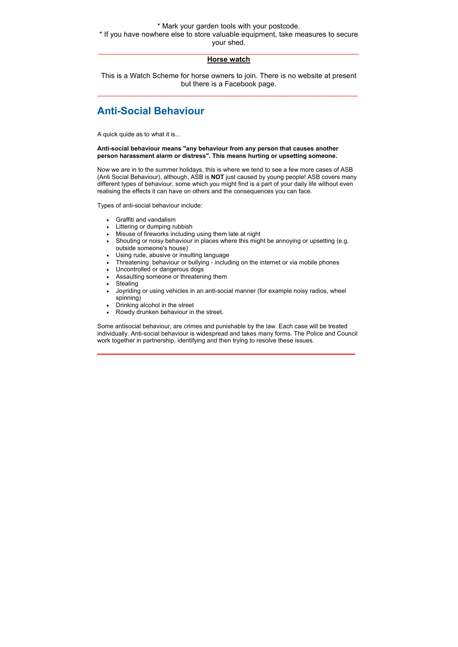## \* Mark your garden tools with your postcode. \* If you have nowhere else to store valuable equipment, take measures to secure your shed.

## $\_$  , and the set of the set of the set of the set of the set of the set of the set of the set of the set of the set of the set of the set of the set of the set of the set of the set of the set of the set of the set of th **Horse watch**

This is a Watch Scheme for horse owners to join. There is no website at present but there is a Facebook page.  $\overline{a}$  , and the state of the state of the state of the state of the state of the state of the state of the state of the state of the state of the state of the state of the state of the state of the state of the state o

# **Anti-Social Behaviour**

A quick quide as to what it is...

### **Anti-social behaviour means "any behaviour from any person that causes another person harassment alarm or distress". This means hurting or upsetting someone.**

Now we are in to the summer holidays, this is where we tend to see a few more cases of ASB (Anti Social Behaviour), although, ASB is **NOT** just caused by young people! ASB covers many different types of behaviour, some which you might find is a part of your daily life without even realising the effects it can have on others and the consequences you can face.

Types of anti-social behaviour include:

- Graffiti and vandalism
- Littering or dumping rubbish
- Misuse of fireworks including using them late at night
- Shouting or noisy behaviour in places where this might be annoying or upsetting (e.g. outside someone's house)
- Using rude, abusive or insulting language
- Threatening behaviour or bullying including on the internet or via mobile phones
- Uncontrolled or dangerous dogs
- Assaulting someone or threatening them
- Stealing
- Joyriding or using vehicles in an anti-social manner (for example noisy radios, wheel spinning)
- Drinking alcohol in the street
- Rowdy drunken behaviour in the street.

Some antisocial behaviour, are crimes and punishable by the law. Each case will be treated individually. Anti-social behaviour is widespread and takes many forms. The Police and Council work together in partnership, identifying and then trying to resolve these issues.

\_\_\_\_\_\_\_\_\_\_\_\_\_\_\_\_\_\_\_\_\_\_\_\_\_\_\_\_\_\_\_\_\_\_\_\_\_\_\_\_\_\_\_\_\_\_\_\_\_\_